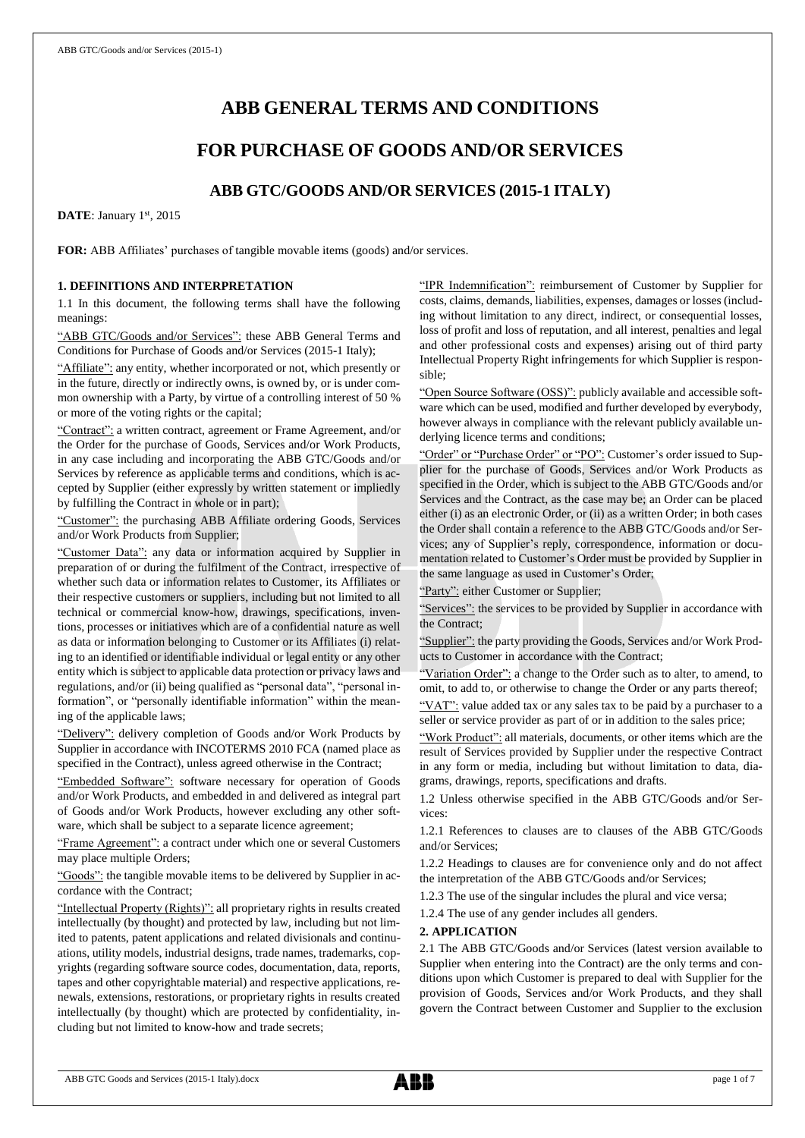# **ABB GENERAL TERMS AND CONDITIONS**

## **FOR PURCHASE OF GOODS AND/OR SERVICES**

## **ABB GTC/GOODS AND/OR SERVICES (2015-1 ITALY)**

DATE: January 1st, 2015

**FOR:** ABB Affiliates' purchases of tangible movable items (goods) and/or services.

## **1. DEFINITIONS AND INTERPRETATION**

1.1 In this document, the following terms shall have the following meanings:

"ABB GTC/Goods and/or Services": these ABB General Terms and Conditions for Purchase of Goods and/or Services (2015-1 Italy);

"Affiliate": any entity, whether incorporated or not, which presently or in the future, directly or indirectly owns, is owned by, or is under common ownership with a Party, by virtue of a controlling interest of 50 % or more of the voting rights or the capital;

"Contract": a written contract, agreement or Frame Agreement, and/or the Order for the purchase of Goods, Services and/or Work Products, in any case including and incorporating the ABB GTC/Goods and/or Services by reference as applicable terms and conditions, which is accepted by Supplier (either expressly by written statement or impliedly by fulfilling the Contract in whole or in part);

"Customer": the purchasing ABB Affiliate ordering Goods, Services and/or Work Products from Supplier;

"Customer Data": any data or information acquired by Supplier in preparation of or during the fulfilment of the Contract, irrespective of whether such data or information relates to Customer, its Affiliates or their respective customers or suppliers, including but not limited to all technical or commercial know-how, drawings, specifications, inventions, processes or initiatives which are of a confidential nature as well as data or information belonging to Customer or its Affiliates (i) relating to an identified or identifiable individual or legal entity or any other entity which is subject to applicable data protection or privacy laws and regulations, and/or (ii) being qualified as "personal data", "personal information", or "personally identifiable information" within the meaning of the applicable laws;

"Delivery": delivery completion of Goods and/or Work Products by Supplier in accordance with INCOTERMS 2010 FCA (named place as specified in the Contract), unless agreed otherwise in the Contract;

edded Software": software necessary for operation of Goods and/or Work Products, and embedded in and delivered as integral part of Goods and/or Work Products, however excluding any other software, which shall be subject to a separate licence agreement;

"Frame Agreement": a contract under which one or several Customers may place multiple Orders;

"Goods": the tangible movable items to be delivered by Supplier in accordance with the Contract;

"Intellectual Property (Rights)": all proprietary rights in results created intellectually (by thought) and protected by law, including but not limited to patents, patent applications and related divisionals and continuations, utility models, industrial designs, trade names, trademarks, copyrights (regarding software source codes, documentation, data, reports, tapes and other copyrightable material) and respective applications, renewals, extensions, restorations, or proprietary rights in results created intellectually (by thought) which are protected by confidentiality, including but not limited to know-how and trade secrets;

"IPR Indemnification": reimbursement of Customer by Supplier for costs, claims, demands, liabilities, expenses, damages or losses (including without limitation to any direct, indirect, or consequential losses, loss of profit and loss of reputation, and all interest, penalties and legal and other professional costs and expenses) arising out of third party Intellectual Property Right infringements for which Supplier is responsible;

"Open Source Software (OSS)": publicly available and accessible software which can be used, modified and further developed by everybody, however always in compliance with the relevant publicly available underlying licence terms and conditions;

"Order" or "Purchase Order" or "PO": Customer's order issued to Supplier for the purchase of Goods, Services and/or Work Products as specified in the Order, which is subject to the ABB GTC/Goods and/or Services and the Contract, as the case may be; an Order can be placed either (i) as an electronic Order, or (ii) as a written Order; in both cases the Order shall contain a reference to the ABB GTC/Goods and/or Services; any of Supplier's reply, correspondence, information or documentation related to Customer's Order must be provided by Supplier in the same language as used in Customer's Order;

"Party": either Customer or Supplier;

"Services": the services to be provided by Supplier in accordance with the Contract;

"Supplier": the party providing the Goods, Services and/or Work Products to Customer in accordance with the Contract;

"Variation Order": a change to the Order such as to alter, to amend, to omit, to add to, or otherwise to change the Order or any parts thereof;

"VAT": value added tax or any sales tax to be paid by a purchaser to a seller or service provider as part of or in addition to the sales price;

"Work Product": all materials, documents, or other items which are the result of Services provided by Supplier under the respective Contract in any form or media, including but without limitation to data, diagrams, drawings, reports, specifications and drafts.

1.2 Unless otherwise specified in the ABB GTC/Goods and/or Services:

1.2.1 References to clauses are to clauses of the ABB GTC/Goods and/or Services;

1.2.2 Headings to clauses are for convenience only and do not affect the interpretation of the ABB GTC/Goods and/or Services;

1.2.3 The use of the singular includes the plural and vice versa;

1.2.4 The use of any gender includes all genders.

## **2. APPLICATION**

2.1 The ABB GTC/Goods and/or Services (latest version available to Supplier when entering into the Contract) are the only terms and conditions upon which Customer is prepared to deal with Supplier for the provision of Goods, Services and/or Work Products, and they shall govern the Contract between Customer and Supplier to the exclusion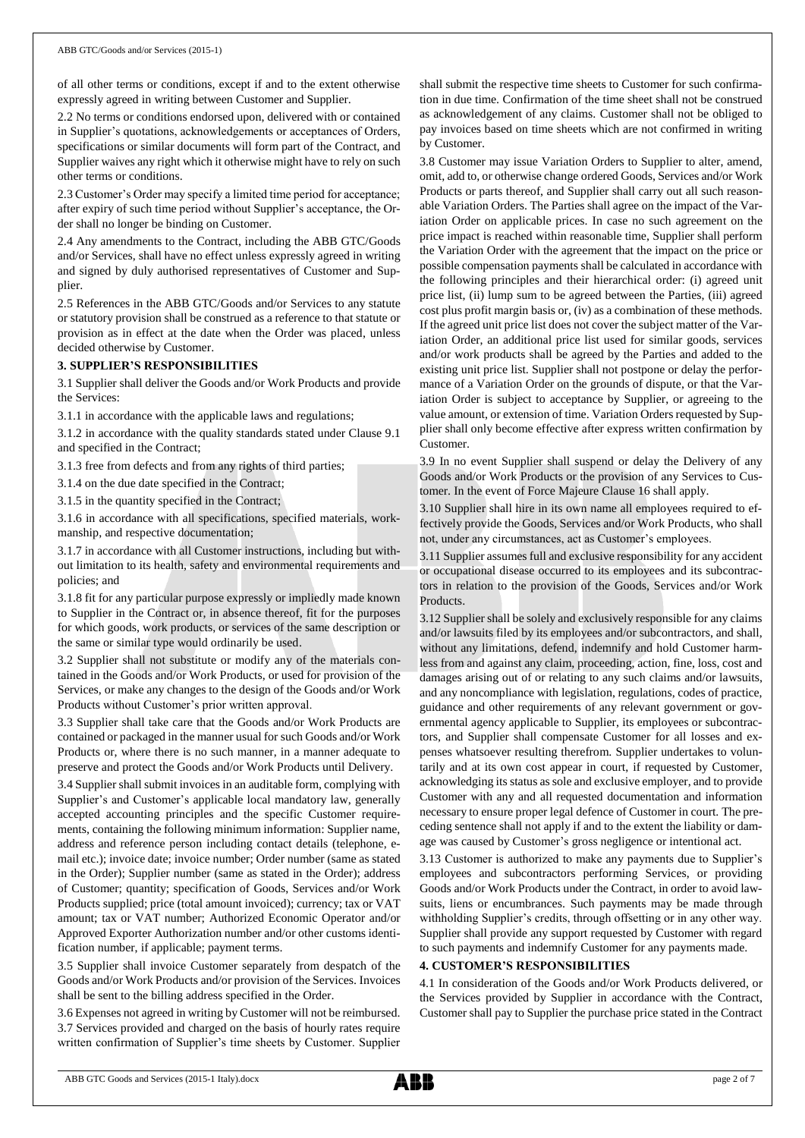of all other terms or conditions, except if and to the extent otherwise expressly agreed in writing between Customer and Supplier.

2.2 No terms or conditions endorsed upon, delivered with or contained in Supplier's quotations, acknowledgements or acceptances of Orders, specifications or similar documents will form part of the Contract, and Supplier waives any right which it otherwise might have to rely on such other terms or conditions.

2.3 Customer's Order may specify a limited time period for acceptance; after expiry of such time period without Supplier's acceptance, the Order shall no longer be binding on Customer.

2.4 Any amendments to the Contract, including the ABB GTC/Goods and/or Services, shall have no effect unless expressly agreed in writing and signed by duly authorised representatives of Customer and Supplier.

2.5 References in the ABB GTC/Goods and/or Services to any statute or statutory provision shall be construed as a reference to that statute or provision as in effect at the date when the Order was placed, unless decided otherwise by Customer.

## **3. SUPPLIER'S RESPONSIBILITIES**

3.1 Supplier shall deliver the Goods and/or Work Products and provide the Services:

3.1.1 in accordance with the applicable laws and regulations;

3.1.2 in accordance with the quality standards stated under Clause 9.1 and specified in the Contract;

3.1.3 free from defects and from any rights of third parties;

3.1.4 on the due date specified in the Contract;

3.1.5 in the quantity specified in the Contract;

3.1.6 in accordance with all specifications, specified materials, workmanship, and respective documentation;

3.1.7 in accordance with all Customer instructions, including but without limitation to its health, safety and environmental requirements and policies; and

3.1.8 fit for any particular purpose expressly or impliedly made known to Supplier in the Contract or, in absence thereof, fit for the purposes for which goods, work products, or services of the same description or the same or similar type would ordinarily be used.

3.2 Supplier shall not substitute or modify any of the materials contained in the Goods and/or Work Products, or used for provision of the Services, or make any changes to the design of the Goods and/or Work Products without Customer's prior written approval.

3.3 Supplier shall take care that the Goods and/or Work Products are contained or packaged in the manner usual for such Goods and/or Work Products or, where there is no such manner, in a manner adequate to preserve and protect the Goods and/or Work Products until Delivery.

3.4 Supplier shall submit invoices in an auditable form, complying with Supplier's and Customer's applicable local mandatory law, generally accepted accounting principles and the specific Customer requirements, containing the following minimum information: Supplier name, address and reference person including contact details (telephone, email etc.); invoice date; invoice number; Order number (same as stated in the Order); Supplier number (same as stated in the Order); address of Customer; quantity; specification of Goods, Services and/or Work Products supplied; price (total amount invoiced); currency; tax or VAT amount; tax or VAT number; Authorized Economic Operator and/or Approved Exporter Authorization number and/or other customs identification number, if applicable; payment terms.

3.5 Supplier shall invoice Customer separately from despatch of the Goods and/or Work Products and/or provision of the Services. Invoices shall be sent to the billing address specified in the Order.

3.6 Expenses not agreed in writing by Customer will not be reimbursed. 3.7 Services provided and charged on the basis of hourly rates require written confirmation of Supplier's time sheets by Customer. Supplier

shall submit the respective time sheets to Customer for such confirmation in due time. Confirmation of the time sheet shall not be construed as acknowledgement of any claims. Customer shall not be obliged to pay invoices based on time sheets which are not confirmed in writing by Customer.

3.8 Customer may issue Variation Orders to Supplier to alter, amend, omit, add to, or otherwise change ordered Goods, Services and/or Work Products or parts thereof, and Supplier shall carry out all such reasonable Variation Orders. The Parties shall agree on the impact of the Variation Order on applicable prices. In case no such agreement on the price impact is reached within reasonable time, Supplier shall perform the Variation Order with the agreement that the impact on the price or possible compensation payments shall be calculated in accordance with the following principles and their hierarchical order: (i) agreed unit price list, (ii) lump sum to be agreed between the Parties, (iii) agreed cost plus profit margin basis or, (iv) as a combination of these methods. If the agreed unit price list does not cover the subject matter of the Variation Order, an additional price list used for similar goods, services and/or work products shall be agreed by the Parties and added to the existing unit price list. Supplier shall not postpone or delay the performance of a Variation Order on the grounds of dispute, or that the Variation Order is subject to acceptance by Supplier, or agreeing to the value amount, or extension of time. Variation Orders requested by Supplier shall only become effective after express written confirmation by Customer.

3.9 In no event Supplier shall suspend or delay the Delivery of any Goods and/or Work Products or the provision of any Services to Customer. In the event of Force Majeure Clause 16 shall apply.

3.10 Supplier shall hire in its own name all employees required to effectively provide the Goods, Services and/or Work Products, who shall not, under any circumstances, act as Customer's employees.

3.11 Supplier assumes full and exclusive responsibility for any accident or occupational disease occurred to its employees and its subcontractors in relation to the provision of the Goods, Services and/or Work Products.

3.12 Supplier shall be solely and exclusively responsible for any claims and/or lawsuits filed by its employees and/or subcontractors, and shall, without any limitations, defend, indemnify and hold Customer harmless from and against any claim, proceeding, action, fine, loss, cost and damages arising out of or relating to any such claims and/or lawsuits, and any noncompliance with legislation, regulations, codes of practice, guidance and other requirements of any relevant government or governmental agency applicable to Supplier, its employees or subcontractors, and Supplier shall compensate Customer for all losses and expenses whatsoever resulting therefrom. Supplier undertakes to voluntarily and at its own cost appear in court, if requested by Customer, acknowledging its status as sole and exclusive employer, and to provide Customer with any and all requested documentation and information necessary to ensure proper legal defence of Customer in court. The preceding sentence shall not apply if and to the extent the liability or damage was caused by Customer's gross negligence or intentional act.

3.13 Customer is authorized to make any payments due to Supplier's employees and subcontractors performing Services, or providing Goods and/or Work Products under the Contract, in order to avoid lawsuits, liens or encumbrances. Such payments may be made through withholding Supplier's credits, through offsetting or in any other way. Supplier shall provide any support requested by Customer with regard to such payments and indemnify Customer for any payments made.

## **4. CUSTOMER'S RESPONSIBILITIES**

4.1 In consideration of the Goods and/or Work Products delivered, or the Services provided by Supplier in accordance with the Contract, Customer shall pay to Supplier the purchase price stated in the Contract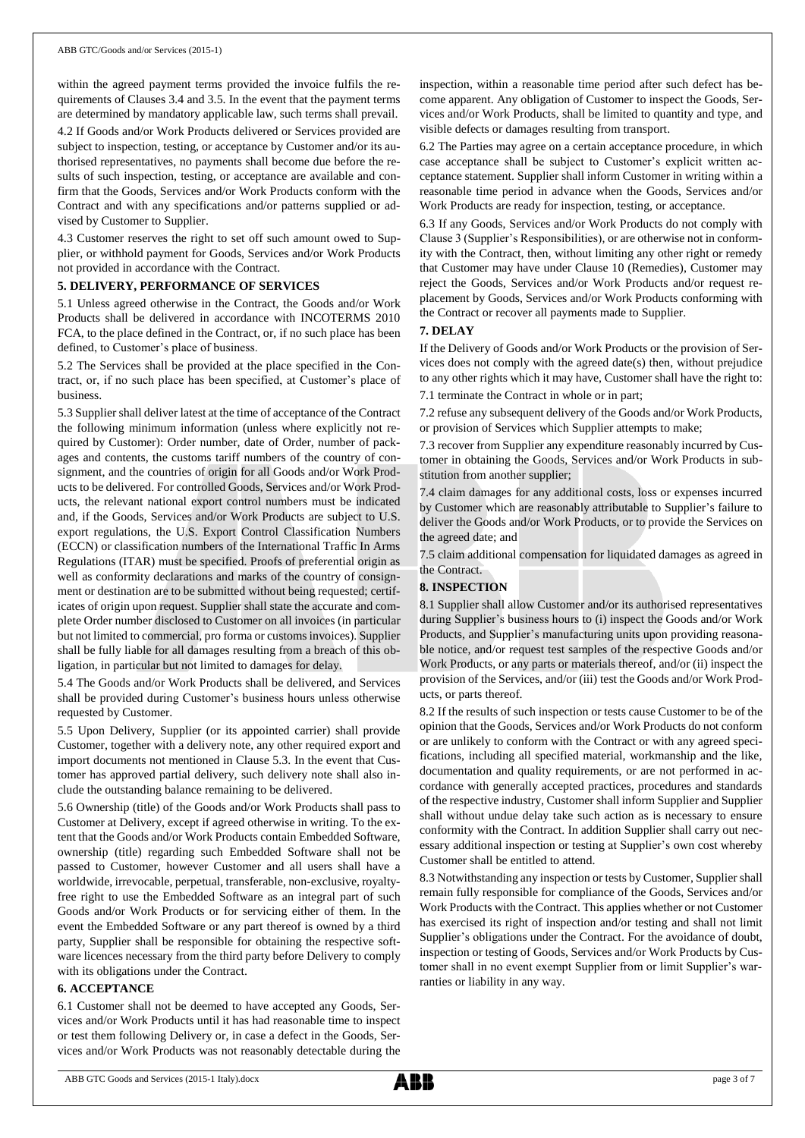within the agreed payment terms provided the invoice fulfils the requirements of Clauses 3.4 and 3.5. In the event that the payment terms are determined by mandatory applicable law, such terms shall prevail.

4.2 If Goods and/or Work Products delivered or Services provided are subject to inspection, testing, or acceptance by Customer and/or its authorised representatives, no payments shall become due before the results of such inspection, testing, or acceptance are available and confirm that the Goods, Services and/or Work Products conform with the Contract and with any specifications and/or patterns supplied or advised by Customer to Supplier.

4.3 Customer reserves the right to set off such amount owed to Supplier, or withhold payment for Goods, Services and/or Work Products not provided in accordance with the Contract.

#### **5. DELIVERY, PERFORMANCE OF SERVICES**

5.1 Unless agreed otherwise in the Contract, the Goods and/or Work Products shall be delivered in accordance with INCOTERMS 2010 FCA, to the place defined in the Contract, or, if no such place has been defined, to Customer's place of business.

5.2 The Services shall be provided at the place specified in the Contract, or, if no such place has been specified, at Customer's place of business.

5.3 Supplier shall deliver latest at the time of acceptance of the Contract the following minimum information (unless where explicitly not required by Customer): Order number, date of Order, number of packages and contents, the customs tariff numbers of the country of consignment, and the countries of origin for all Goods and/or Work Products to be delivered. For controlled Goods, Services and/or Work Products, the relevant national export control numbers must be indicated and, if the Goods, Services and/or Work Products are subject to U.S. export regulations, the U.S. Export Control Classification Numbers (ECCN) or classification numbers of the International Traffic In Arms Regulations (ITAR) must be specified. Proofs of preferential origin as well as conformity declarations and marks of the country of consignment or destination are to be submitted without being requested; certificates of origin upon request. Supplier shall state the accurate and complete Order number disclosed to Customer on all invoices (in particular but not limited to commercial, pro forma or customs invoices). Supplier shall be fully liable for all damages resulting from a breach of this obligation, in particular but not limited to damages for delay.

5.4 The Goods and/or Work Products shall be delivered, and Services shall be provided during Customer's business hours unless otherwise requested by Customer.

5.5 Upon Delivery, Supplier (or its appointed carrier) shall provide Customer, together with a delivery note, any other required export and import documents not mentioned in Clause 5.3. In the event that Customer has approved partial delivery, such delivery note shall also include the outstanding balance remaining to be delivered.

5.6 Ownership (title) of the Goods and/or Work Products shall pass to Customer at Delivery, except if agreed otherwise in writing. To the extent that the Goods and/or Work Products contain Embedded Software, ownership (title) regarding such Embedded Software shall not be passed to Customer, however Customer and all users shall have a worldwide, irrevocable, perpetual, transferable, non-exclusive, royaltyfree right to use the Embedded Software as an integral part of such Goods and/or Work Products or for servicing either of them. In the event the Embedded Software or any part thereof is owned by a third party, Supplier shall be responsible for obtaining the respective software licences necessary from the third party before Delivery to comply with its obligations under the Contract.

#### **6. ACCEPTANCE**

6.1 Customer shall not be deemed to have accepted any Goods, Services and/or Work Products until it has had reasonable time to inspect or test them following Delivery or, in case a defect in the Goods, Services and/or Work Products was not reasonably detectable during the

inspection, within a reasonable time period after such defect has become apparent. Any obligation of Customer to inspect the Goods, Services and/or Work Products, shall be limited to quantity and type, and visible defects or damages resulting from transport.

6.2 The Parties may agree on a certain acceptance procedure, in which case acceptance shall be subject to Customer's explicit written acceptance statement. Supplier shall inform Customer in writing within a reasonable time period in advance when the Goods, Services and/or Work Products are ready for inspection, testing, or acceptance.

6.3 If any Goods, Services and/or Work Products do not comply with Clause 3 (Supplier's Responsibilities), or are otherwise not in conformity with the Contract, then, without limiting any other right or remedy that Customer may have under Clause 10 (Remedies), Customer may reject the Goods, Services and/or Work Products and/or request replacement by Goods, Services and/or Work Products conforming with the Contract or recover all payments made to Supplier.

## **7. DELAY**

If the Delivery of Goods and/or Work Products or the provision of Services does not comply with the agreed date(s) then, without prejudice to any other rights which it may have, Customer shall have the right to: 7.1 terminate the Contract in whole or in part;

7.2 refuse any subsequent delivery of the Goods and/or Work Products, or provision of Services which Supplier attempts to make;

7.3 recover from Supplier any expenditure reasonably incurred by Customer in obtaining the Goods, Services and/or Work Products in substitution from another supplier;

7.4 claim damages for any additional costs, loss or expenses incurred by Customer which are reasonably attributable to Supplier's failure to deliver the Goods and/or Work Products, or to provide the Services on the agreed date; and

7.5 claim additional compensation for liquidated damages as agreed in the Contract.

## **8. INSPECTION**

8.1 Supplier shall allow Customer and/or its authorised representatives during Supplier's business hours to (i) inspect the Goods and/or Work Products, and Supplier's manufacturing units upon providing reasonable notice, and/or request test samples of the respective Goods and/or Work Products, or any parts or materials thereof, and/or (ii) inspect the provision of the Services, and/or (iii) test the Goods and/or Work Products, or parts thereof.

8.2 If the results of such inspection or tests cause Customer to be of the opinion that the Goods, Services and/or Work Products do not conform or are unlikely to conform with the Contract or with any agreed specifications, including all specified material, workmanship and the like, documentation and quality requirements, or are not performed in accordance with generally accepted practices, procedures and standards of the respective industry, Customer shall inform Supplier and Supplier shall without undue delay take such action as is necessary to ensure conformity with the Contract. In addition Supplier shall carry out necessary additional inspection or testing at Supplier's own cost whereby Customer shall be entitled to attend.

8.3 Notwithstanding any inspection or tests by Customer, Supplier shall remain fully responsible for compliance of the Goods, Services and/or Work Products with the Contract. This applies whether or not Customer has exercised its right of inspection and/or testing and shall not limit Supplier's obligations under the Contract. For the avoidance of doubt, inspection or testing of Goods, Services and/or Work Products by Customer shall in no event exempt Supplier from or limit Supplier's warranties or liability in any way.

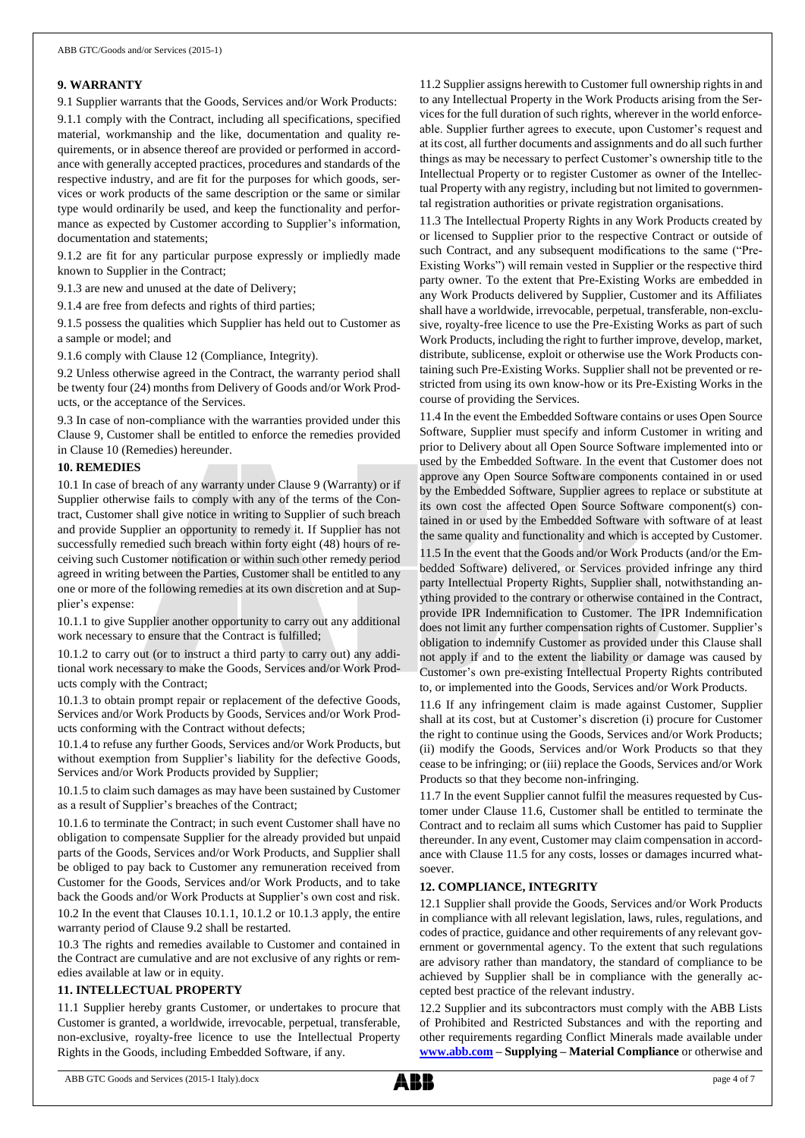## **9. WARRANTY**

9.1 Supplier warrants that the Goods, Services and/or Work Products: 9.1.1 comply with the Contract, including all specifications, specified material, workmanship and the like, documentation and quality requirements, or in absence thereof are provided or performed in accordance with generally accepted practices, procedures and standards of the respective industry, and are fit for the purposes for which goods, services or work products of the same description or the same or similar type would ordinarily be used, and keep the functionality and performance as expected by Customer according to Supplier's information, documentation and statements;

9.1.2 are fit for any particular purpose expressly or impliedly made known to Supplier in the Contract;

9.1.3 are new and unused at the date of Delivery;

9.1.4 are free from defects and rights of third parties;

9.1.5 possess the qualities which Supplier has held out to Customer as a sample or model; and

9.1.6 comply with Clause 12 (Compliance, Integrity).

9.2 Unless otherwise agreed in the Contract, the warranty period shall be twenty four (24) months from Delivery of Goods and/or Work Products, or the acceptance of the Services.

9.3 In case of non-compliance with the warranties provided under this Clause 9, Customer shall be entitled to enforce the remedies provided in Clause 10 (Remedies) hereunder.

### **10. REMEDIES**

10.1 In case of breach of any warranty under Clause 9 (Warranty) or if Supplier otherwise fails to comply with any of the terms of the Contract, Customer shall give notice in writing to Supplier of such breach and provide Supplier an opportunity to remedy it. If Supplier has not successfully remedied such breach within forty eight (48) hours of receiving such Customer notification or within such other remedy period agreed in writing between the Parties, Customer shall be entitled to any one or more of the following remedies at its own discretion and at Supplier's expense:

10.1.1 to give Supplier another opportunity to carry out any additional work necessary to ensure that the Contract is fulfilled;

10.1.2 to carry out (or to instruct a third party to carry out) any additional work necessary to make the Goods, Services and/or Work Products comply with the Contract;

10.1.3 to obtain prompt repair or replacement of the defective Goods, Services and/or Work Products by Goods, Services and/or Work Products conforming with the Contract without defects;

10.1.4 to refuse any further Goods, Services and/or Work Products, but without exemption from Supplier's liability for the defective Goods, Services and/or Work Products provided by Supplier;

10.1.5 to claim such damages as may have been sustained by Customer as a result of Supplier's breaches of the Contract;

10.1.6 to terminate the Contract; in such event Customer shall have no obligation to compensate Supplier for the already provided but unpaid parts of the Goods, Services and/or Work Products, and Supplier shall be obliged to pay back to Customer any remuneration received from Customer for the Goods, Services and/or Work Products, and to take back the Goods and/or Work Products at Supplier's own cost and risk. 10.2 In the event that Clauses 10.1.1, 10.1.2 or 10.1.3 apply, the entire

warranty period of Clause 9.2 shall be restarted.

10.3 The rights and remedies available to Customer and contained in the Contract are cumulative and are not exclusive of any rights or remedies available at law or in equity.

## **11. INTELLECTUAL PROPERTY**

11.1 Supplier hereby grants Customer, or undertakes to procure that Customer is granted, a worldwide, irrevocable, perpetual, transferable, non-exclusive, royalty-free licence to use the Intellectual Property Rights in the Goods, including Embedded Software, if any.

11.2 Supplier assigns herewith to Customer full ownership rights in and to any Intellectual Property in the Work Products arising from the Services for the full duration of such rights, wherever in the world enforceable. Supplier further agrees to execute, upon Customer's request and at its cost, all further documents and assignments and do all such further things as may be necessary to perfect Customer's ownership title to the Intellectual Property or to register Customer as owner of the Intellectual Property with any registry, including but not limited to governmental registration authorities or private registration organisations.

11.3 The Intellectual Property Rights in any Work Products created by or licensed to Supplier prior to the respective Contract or outside of such Contract, and any subsequent modifications to the same ("Pre-Existing Works") will remain vested in Supplier or the respective third party owner. To the extent that Pre-Existing Works are embedded in any Work Products delivered by Supplier, Customer and its Affiliates shall have a worldwide, irrevocable, perpetual, transferable, non-exclusive, royalty-free licence to use the Pre-Existing Works as part of such Work Products, including the right to further improve, develop, market, distribute, sublicense, exploit or otherwise use the Work Products containing such Pre-Existing Works. Supplier shall not be prevented or restricted from using its own know-how or its Pre-Existing Works in the course of providing the Services.

11.4 In the event the Embedded Software contains or uses Open Source Software, Supplier must specify and inform Customer in writing and prior to Delivery about all Open Source Software implemented into or used by the Embedded Software. In the event that Customer does not approve any Open Source Software components contained in or used by the Embedded Software, Supplier agrees to replace or substitute at its own cost the affected Open Source Software component(s) contained in or used by the Embedded Software with software of at least the same quality and functionality and which is accepted by Customer. 11.5 In the event that the Goods and/or Work Products (and/or the Embedded Software) delivered, or Services provided infringe any third party Intellectual Property Rights, Supplier shall, notwithstanding anything provided to the contrary or otherwise contained in the Contract, provide IPR Indemnification to Customer. The IPR Indemnification does not limit any further compensation rights of Customer. Supplier's obligation to indemnify Customer as provided under this Clause shall not apply if and to the extent the liability or damage was caused by Customer's own pre-existing Intellectual Property Rights contributed to, or implemented into the Goods, Services and/or Work Products.

11.6 If any infringement claim is made against Customer, Supplier shall at its cost, but at Customer's discretion (i) procure for Customer the right to continue using the Goods, Services and/or Work Products; (ii) modify the Goods, Services and/or Work Products so that they cease to be infringing; or (iii) replace the Goods, Services and/or Work Products so that they become non-infringing.

11.7 In the event Supplier cannot fulfil the measures requested by Customer under Clause 11.6, Customer shall be entitled to terminate the Contract and to reclaim all sums which Customer has paid to Supplier thereunder. In any event, Customer may claim compensation in accordance with Clause 11.5 for any costs, losses or damages incurred whatsoever.

#### **12. COMPLIANCE, INTEGRITY**

12.1 Supplier shall provide the Goods, Services and/or Work Products in compliance with all relevant legislation, laws, rules, regulations, and codes of practice, guidance and other requirements of any relevant government or governmental agency. To the extent that such regulations are advisory rather than mandatory, the standard of compliance to be achieved by Supplier shall be in compliance with the generally accepted best practice of the relevant industry.

12.2 Supplier and its subcontractors must comply with the ABB Lists of Prohibited and Restricted Substances and with the reporting and other requirements regarding Conflict Minerals made available under **[www.abb.com](http://www.abb.com/) – Supplying – Material Compliance** or otherwise and

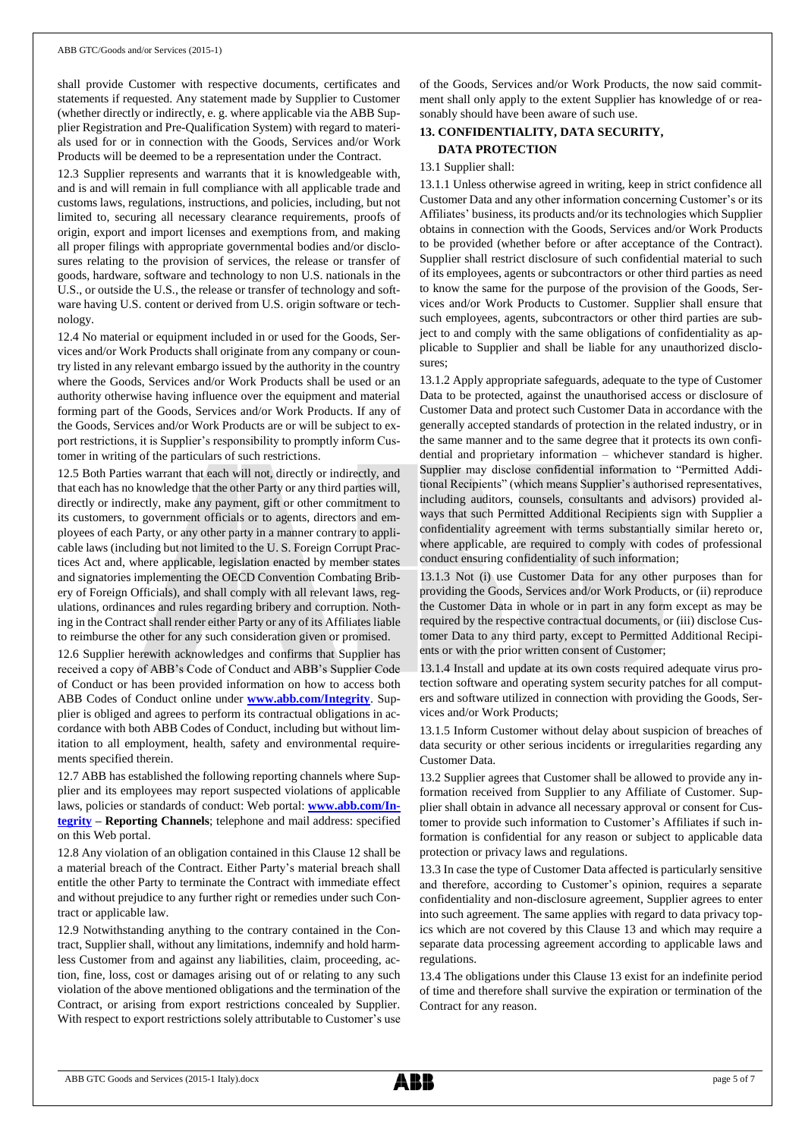shall provide Customer with respective documents, certificates and statements if requested. Any statement made by Supplier to Customer (whether directly or indirectly, e. g. where applicable via the ABB Supplier Registration and Pre-Qualification System) with regard to materials used for or in connection with the Goods, Services and/or Work Products will be deemed to be a representation under the Contract.

12.3 Supplier represents and warrants that it is knowledgeable with, and is and will remain in full compliance with all applicable trade and customs laws, regulations, instructions, and policies, including, but not limited to, securing all necessary clearance requirements, proofs of origin, export and import licenses and exemptions from, and making all proper filings with appropriate governmental bodies and/or disclosures relating to the provision of services, the release or transfer of goods, hardware, software and technology to non U.S. nationals in the U.S., or outside the U.S., the release or transfer of technology and software having U.S. content or derived from U.S. origin software or technology.

12.4 No material or equipment included in or used for the Goods, Services and/or Work Products shall originate from any company or country listed in any relevant embargo issued by the authority in the country where the Goods, Services and/or Work Products shall be used or an authority otherwise having influence over the equipment and material forming part of the Goods, Services and/or Work Products. If any of the Goods, Services and/or Work Products are or will be subject to export restrictions, it is Supplier's responsibility to promptly inform Customer in writing of the particulars of such restrictions.

12.5 Both Parties warrant that each will not, directly or indirectly, and that each has no knowledge that the other Party or any third parties will, directly or indirectly, make any payment, gift or other commitment to its customers, to government officials or to agents, directors and employees of each Party, or any other party in a manner contrary to applicable laws (including but not limited to the U. S. Foreign Corrupt Practices Act and, where applicable, legislation enacted by member states and signatories implementing the OECD Convention Combating Bribery of Foreign Officials), and shall comply with all relevant laws, regulations, ordinances and rules regarding bribery and corruption. Nothing in the Contract shall render either Party or any of its Affiliates liable to reimburse the other for any such consideration given or promised.

12.6 Supplier herewith acknowledges and confirms that Supplier has received a copy of ABB's Code of Conduct and ABB's Supplier Code of Conduct or has been provided information on how to access both ABB Codes of Conduct online under **[www.abb.com/Integrity](http://www.abb.com/Integrity)**. Supplier is obliged and agrees to perform its contractual obligations in accordance with both ABB Codes of Conduct, including but without limitation to all employment, health, safety and environmental requirements specified therein.

12.7 ABB has established the following reporting channels where Supplier and its employees may report suspected violations of applicable laws, policies or standards of conduct: Web portal: **[www.abb.com/In](http://www.abb.com/Integrity)[tegrity](http://www.abb.com/Integrity) – Reporting Channels**; telephone and mail address: specified on this Web portal.

12.8 Any violation of an obligation contained in this Clause 12 shall be a material breach of the Contract. Either Party's material breach shall entitle the other Party to terminate the Contract with immediate effect and without prejudice to any further right or remedies under such Contract or applicable law.

12.9 Notwithstanding anything to the contrary contained in the Contract, Supplier shall, without any limitations, indemnify and hold harmless Customer from and against any liabilities, claim, proceeding, action, fine, loss, cost or damages arising out of or relating to any such violation of the above mentioned obligations and the termination of the Contract, or arising from export restrictions concealed by Supplier. With respect to export restrictions solely attributable to Customer's use of the Goods, Services and/or Work Products, the now said commitment shall only apply to the extent Supplier has knowledge of or reasonably should have been aware of such use.

## **13. CONFIDENTIALITY, DATA SECURITY,**

## **DATA PROTECTION**

## 13.1 Supplier shall:

13.1.1 Unless otherwise agreed in writing, keep in strict confidence all Customer Data and any other information concerning Customer's or its Affiliates' business, its products and/or its technologies which Supplier obtains in connection with the Goods, Services and/or Work Products to be provided (whether before or after acceptance of the Contract). Supplier shall restrict disclosure of such confidential material to such of its employees, agents or subcontractors or other third parties as need to know the same for the purpose of the provision of the Goods, Services and/or Work Products to Customer. Supplier shall ensure that such employees, agents, subcontractors or other third parties are subject to and comply with the same obligations of confidentiality as applicable to Supplier and shall be liable for any unauthorized disclosures;

13.1.2 Apply appropriate safeguards, adequate to the type of Customer Data to be protected, against the unauthorised access or disclosure of Customer Data and protect such Customer Data in accordance with the generally accepted standards of protection in the related industry, or in the same manner and to the same degree that it protects its own confidential and proprietary information – whichever standard is higher. Supplier may disclose confidential information to "Permitted Additional Recipients" (which means Supplier's authorised representatives, including auditors, counsels, consultants and advisors) provided always that such Permitted Additional Recipients sign with Supplier a confidentiality agreement with terms substantially similar hereto or, where applicable, are required to comply with codes of professional conduct ensuring confidentiality of such information;

13.1.3 Not (i) use Customer Data for any other purposes than for providing the Goods, Services and/or Work Products, or (ii) reproduce the Customer Data in whole or in part in any form except as may be required by the respective contractual documents, or (iii) disclose Customer Data to any third party, except to Permitted Additional Recipients or with the prior written consent of Customer;

13.1.4 Install and update at its own costs required adequate virus protection software and operating system security patches for all computers and software utilized in connection with providing the Goods, Services and/or Work Products;

13.1.5 Inform Customer without delay about suspicion of breaches of data security or other serious incidents or irregularities regarding any Customer Data.

13.2 Supplier agrees that Customer shall be allowed to provide any information received from Supplier to any Affiliate of Customer. Supplier shall obtain in advance all necessary approval or consent for Customer to provide such information to Customer's Affiliates if such information is confidential for any reason or subject to applicable data protection or privacy laws and regulations.

13.3 In case the type of Customer Data affected is particularly sensitive and therefore, according to Customer's opinion, requires a separate confidentiality and non-disclosure agreement, Supplier agrees to enter into such agreement. The same applies with regard to data privacy topics which are not covered by this Clause 13 and which may require a separate data processing agreement according to applicable laws and regulations.

13.4 The obligations under this Clause 13 exist for an indefinite period of time and therefore shall survive the expiration or termination of the Contract for any reason.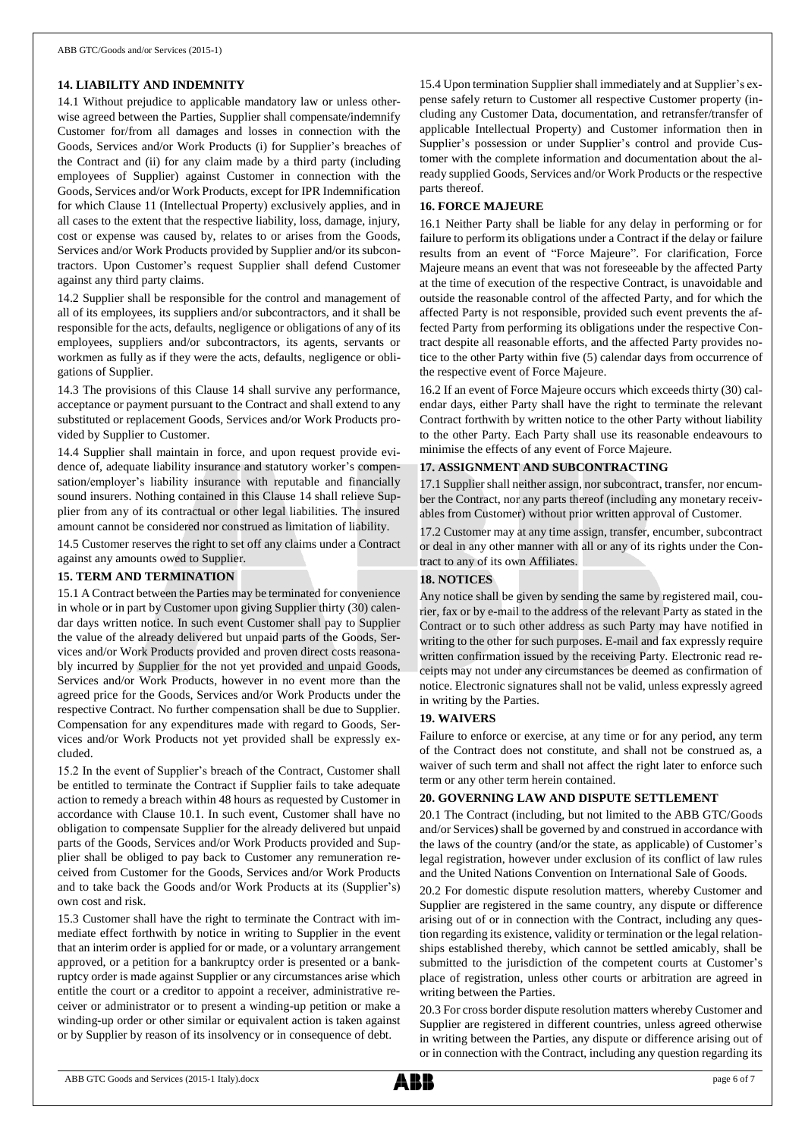## **14. LIABILITY AND INDEMNITY**

14.1 Without prejudice to applicable mandatory law or unless otherwise agreed between the Parties, Supplier shall compensate/indemnify Customer for/from all damages and losses in connection with the Goods, Services and/or Work Products (i) for Supplier's breaches of the Contract and (ii) for any claim made by a third party (including employees of Supplier) against Customer in connection with the Goods, Services and/or Work Products, except for IPR Indemnification for which Clause 11 (Intellectual Property) exclusively applies, and in all cases to the extent that the respective liability, loss, damage, injury, cost or expense was caused by, relates to or arises from the Goods, Services and/or Work Products provided by Supplier and/or its subcontractors. Upon Customer's request Supplier shall defend Customer against any third party claims.

14.2 Supplier shall be responsible for the control and management of all of its employees, its suppliers and/or subcontractors, and it shall be responsible for the acts, defaults, negligence or obligations of any of its employees, suppliers and/or subcontractors, its agents, servants or workmen as fully as if they were the acts, defaults, negligence or obligations of Supplier.

14.3 The provisions of this Clause 14 shall survive any performance, acceptance or payment pursuant to the Contract and shall extend to any substituted or replacement Goods, Services and/or Work Products provided by Supplier to Customer.

14.4 Supplier shall maintain in force, and upon request provide evidence of, adequate liability insurance and statutory worker's compensation/employer's liability insurance with reputable and financially sound insurers. Nothing contained in this Clause 14 shall relieve Supplier from any of its contractual or other legal liabilities. The insured amount cannot be considered nor construed as limitation of liability.

14.5 Customer reserves the right to set off any claims under a Contract against any amounts owed to Supplier.

#### **15. TERM AND TERMINATION**

15.1 A Contract between the Parties may be terminated for convenience in whole or in part by Customer upon giving Supplier thirty (30) calendar days written notice. In such event Customer shall pay to Supplier the value of the already delivered but unpaid parts of the Goods, Services and/or Work Products provided and proven direct costs reasonably incurred by Supplier for the not yet provided and unpaid Goods, Services and/or Work Products, however in no event more than the agreed price for the Goods, Services and/or Work Products under the respective Contract. No further compensation shall be due to Supplier. Compensation for any expenditures made with regard to Goods, Services and/or Work Products not yet provided shall be expressly excluded.

15.2 In the event of Supplier's breach of the Contract, Customer shall be entitled to terminate the Contract if Supplier fails to take adequate action to remedy a breach within 48 hours as requested by Customer in accordance with Clause 10.1. In such event, Customer shall have no obligation to compensate Supplier for the already delivered but unpaid parts of the Goods, Services and/or Work Products provided and Supplier shall be obliged to pay back to Customer any remuneration received from Customer for the Goods, Services and/or Work Products and to take back the Goods and/or Work Products at its (Supplier's) own cost and risk.

15.3 Customer shall have the right to terminate the Contract with immediate effect forthwith by notice in writing to Supplier in the event that an interim order is applied for or made, or a voluntary arrangement approved, or a petition for a bankruptcy order is presented or a bankruptcy order is made against Supplier or any circumstances arise which entitle the court or a creditor to appoint a receiver, administrative receiver or administrator or to present a winding-up petition or make a winding-up order or other similar or equivalent action is taken against or by Supplier by reason of its insolvency or in consequence of debt.

15.4 Upon termination Supplier shall immediately and at Supplier's expense safely return to Customer all respective Customer property (including any Customer Data, documentation, and retransfer/transfer of applicable Intellectual Property) and Customer information then in Supplier's possession or under Supplier's control and provide Customer with the complete information and documentation about the already supplied Goods, Services and/or Work Products or the respective parts thereof.

## **16. FORCE MAJEURE**

16.1 Neither Party shall be liable for any delay in performing or for failure to perform its obligations under a Contract if the delay or failure results from an event of "Force Majeure". For clarification, Force Majeure means an event that was not foreseeable by the affected Party at the time of execution of the respective Contract, is unavoidable and outside the reasonable control of the affected Party, and for which the affected Party is not responsible, provided such event prevents the affected Party from performing its obligations under the respective Contract despite all reasonable efforts, and the affected Party provides notice to the other Party within five (5) calendar days from occurrence of the respective event of Force Majeure.

16.2 If an event of Force Majeure occurs which exceeds thirty (30) calendar days, either Party shall have the right to terminate the relevant Contract forthwith by written notice to the other Party without liability to the other Party. Each Party shall use its reasonable endeavours to minimise the effects of any event of Force Majeure.

## **17. ASSIGNMENT AND SUBCONTRACTING**

17.1 Supplier shall neither assign, nor subcontract, transfer, nor encumber the Contract, nor any parts thereof (including any monetary receivables from Customer) without prior written approval of Customer.

17.2 Customer may at any time assign, transfer, encumber, subcontract or deal in any other manner with all or any of its rights under the Contract to any of its own Affiliates.

#### **18. NOTICES**

Any notice shall be given by sending the same by registered mail, courier, fax or by e-mail to the address of the relevant Party as stated in the Contract or to such other address as such Party may have notified in writing to the other for such purposes. E-mail and fax expressly require written confirmation issued by the receiving Party. Electronic read receipts may not under any circumstances be deemed as confirmation of notice. Electronic signatures shall not be valid, unless expressly agreed in writing by the Parties.

### **19. WAIVERS**

Failure to enforce or exercise, at any time or for any period, any term of the Contract does not constitute, and shall not be construed as, a waiver of such term and shall not affect the right later to enforce such term or any other term herein contained.

## **20. GOVERNING LAW AND DISPUTE SETTLEMENT**

20.1 The Contract (including, but not limited to the ABB GTC/Goods and/or Services) shall be governed by and construed in accordance with the laws of the country (and/or the state, as applicable) of Customer's legal registration, however under exclusion of its conflict of law rules and the United Nations Convention on International Sale of Goods.

20.2 For domestic dispute resolution matters, whereby Customer and Supplier are registered in the same country, any dispute or difference arising out of or in connection with the Contract, including any question regarding its existence, validity or termination or the legal relationships established thereby, which cannot be settled amicably, shall be submitted to the jurisdiction of the competent courts at Customer's place of registration, unless other courts or arbitration are agreed in writing between the Parties.

20.3 For cross border dispute resolution matters whereby Customer and Supplier are registered in different countries, unless agreed otherwise in writing between the Parties, any dispute or difference arising out of or in connection with the Contract, including any question regarding its